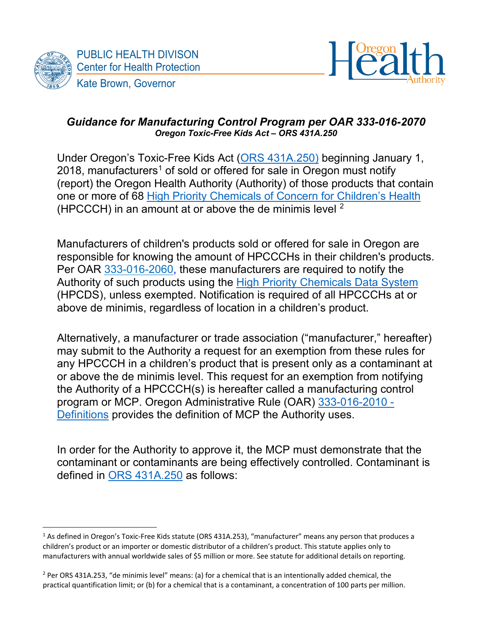



#### *Guidance for Manufacturing Control Program per OAR 333-016-2070 Oregon Toxic-Free Kids Act – ORS 431A.250*

Under Oregon's Toxic-Free Kids Act [\(ORS 431A.250\)](https://www.oregonlegislature.gov/bills_laws/ors/ors431a.html) beginning January 1, 20[1](#page-0-0)8, manufacturers<sup>1</sup> of sold or offered for sale in Oregon must notify (report) the Oregon Health Authority (Authority) of those products that contain one or more of 68 [High Priority Chemicals of Concern for Children's Health](https://secure.sos.state.or.us/oard/viewSingleRule.action?ruleVrsnRsn=276960) (HPCCCH) in an amount at or above the de minimis level <sup>[2](#page-0-1)</sup>

Manufacturers of children's products sold or offered for sale in Oregon are responsible for knowing the amount of HPCCCHs in their children's products. Per OAR [333-016-2060,](https://secure.sos.state.or.us/oard/viewSingleRule.action?ruleVrsnRsn=276965) these manufacturers are required to notify the Authority of such products using the [High Priority Chemicals](http://theic2.org/hpcds#gsc.tab=0) Data System (HPCDS), unless exempted. Notification is required of all HPCCCHs at or above de minimis, regardless of location in a children's product.

Alternatively, a manufacturer or trade association ("manufacturer," hereafter) may submit to the Authority a request for an exemption from these rules for any HPCCCH in a children's product that is present only as a contaminant at or above the de minimis level. This request for an exemption from notifying the Authority of a HPCCCH(s) is hereafter called a manufacturing control program or MCP. Oregon Administrative Rule (OAR) [333-016-2010 -](https://secure.sos.state.or.us/oard/viewSingleRule.action?ruleVrsnRsn=276959) [Definitions](https://secure.sos.state.or.us/oard/viewSingleRule.action?ruleVrsnRsn=276959) provides the definition of MCP the Authority uses.

In order for the Authority to approve it, the MCP must demonstrate that the contaminant or contaminants are being effectively controlled. Contaminant is defined in [ORS 431A.250](https://www.oregonlegislature.gov/bills_laws/ors/ors431a.html) as follows:

<span id="page-0-0"></span><sup>1</sup> As defined in Oregon's Toxic-Free Kids statute (ORS 431A.253), "manufacturer" means any person that produces a children's product or an importer or domestic distributor of a children's product. This statute applies only to manufacturers with annual worldwide sales of \$5 million or more. See statute for additional details on reporting.

<span id="page-0-1"></span> $2$  Per ORS 431A.253, "de minimis level" means: (a) for a chemical that is an intentionally added chemical, the practical quantification limit; or (b) for a chemical that is a contaminant, a concentration of 100 parts per million.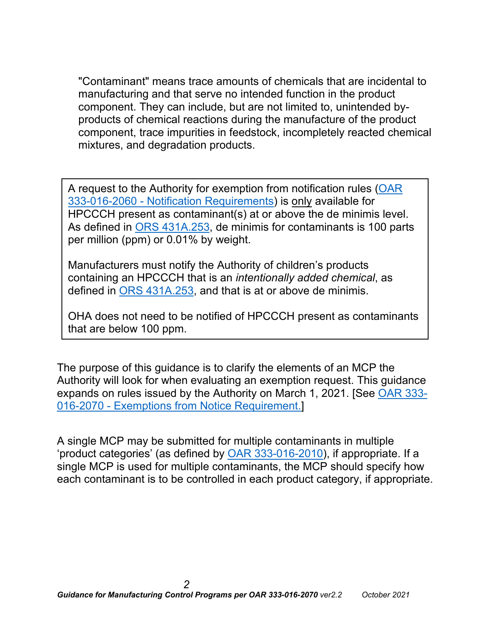"Contaminant" means trace amounts of chemicals that are incidental to manufacturing and that serve no intended function in the product component. They can include, but are not limited to, unintended byproducts of chemical reactions during the manufacture of the product component, trace impurities in feedstock, incompletely reacted chemical mixtures, and degradation products.

A request to the Authority for exemption from notification rules [\(OAR](https://secure.sos.state.or.us/oard/viewSingleRule.action?ruleVrsnRsn=276965)  333-016-2060 - [Notification Requirements\)](https://secure.sos.state.or.us/oard/viewSingleRule.action?ruleVrsnRsn=276965) is only available for HPCCCH present as contaminant(s) at or above the de minimis level. As defined in [ORS 431A.253,](https://www.oregonlegislature.gov/bills_laws/ors/ors431a.html) de minimis for contaminants is 100 parts per million (ppm) or 0.01% by weight.

Manufacturers must notify the Authority of children's products containing an HPCCCH that is an *intentionally added chemical*, as defined in [ORS 431A.253,](https://www.oregonlegislature.gov/bills_laws/ors/ors431a.html) and that is at or above de minimis.

OHA does not need to be notified of HPCCCH present as contaminants that are below 100 ppm.

The purpose of this guidance is to clarify the elements of an MCP the Authority will look for when evaluating an exemption request. This guidance expands on rules issued by the Authority on March 1, 2021. [See [OAR 333-](https://secure.sos.state.or.us/oard/viewSingleRule.action?ruleVrsnRsn=276967) 016-2070 - [Exemptions from Notice Requirement.\]](https://secure.sos.state.or.us/oard/viewSingleRule.action?ruleVrsnRsn=276967)

A single MCP may be submitted for multiple contaminants in multiple 'product categories' (as defined by [OAR 333-016-2010\)](https://secure.sos.state.or.us/oard/viewSingleRule.action?ruleVrsnRsn=276959), if appropriate. If a single MCP is used for multiple contaminants, the MCP should specify how each contaminant is to be controlled in each product category, if appropriate.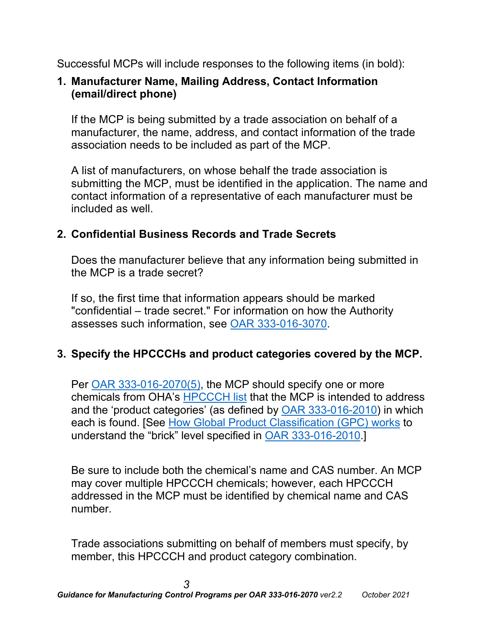Successful MCPs will include responses to the following items (in bold):

## **1. Manufacturer Name, Mailing Address, Contact Information (email/direct phone)**

If the MCP is being submitted by a trade association on behalf of a manufacturer, the name, address, and contact information of the trade association needs to be included as part of the MCP.

A list of manufacturers, on whose behalf the trade association is submitting the MCP, must be identified in the application. The name and contact information of a representative of each manufacturer must be included as well.

## **2. Confidential Business Records and Trade Secrets**

Does the manufacturer believe that any information being submitted in the MCP is a trade secret?

If so, the first time that information appears should be marked "confidential – trade secret." For information on how the Authority assesses such information, see [OAR 333-016-3070.](https://secure.sos.state.or.us/oard/viewSingleRule.action?ruleVrsnRsn=276978)

# **3. Specify the HPCCCHs and product categories covered by the MCP.**

Per [OAR 333-016-2070\(5\),](https://secure.sos.state.or.us/oard/viewSingleRule.action?ruleVrsnRsn=276967) the MCP should specify one or more chemicals from OHA's [HPCCCH list](https://secure.sos.state.or.us/oard/viewSingleRule.action?ruleVrsnRsn=276960) that the MCP is intended to address and the 'product categories' (as defined by [OAR 333-016-2010\)](https://secure.sos.state.or.us/oard/viewSingleRule.action?ruleVrsnRsn=276959) in which each is found. [See [How Global Product Classification \(GPC\) works](https://www.gs1.org/standards/gpc/how-gpc-works) to understand the "brick" level specified in [OAR 333-016-2010.](https://secure.sos.state.or.us/oard/viewSingleRule.action?ruleVrsnRsn=276959)]

Be sure to include both the chemical's name and CAS number. An MCP may cover multiple HPCCCH chemicals; however, each HPCCCH addressed in the MCP must be identified by chemical name and CAS number.

Trade associations submitting on behalf of members must specify, by member, this HPCCCH and product category combination.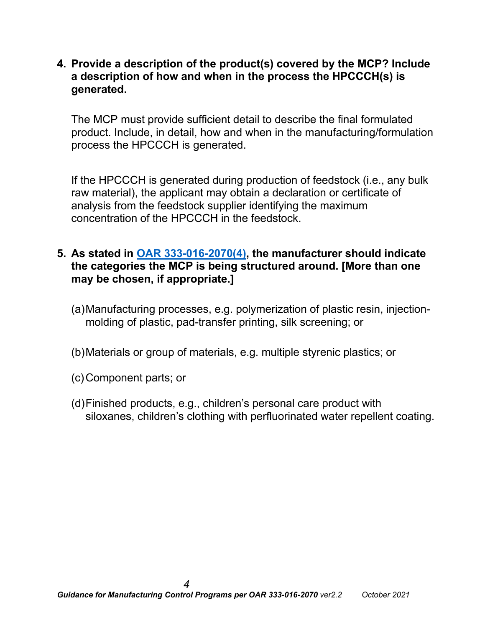**4. Provide a description of the product(s) covered by the MCP? Include a description of how and when in the process the HPCCCH(s) is generated.** 

The MCP must provide sufficient detail to describe the final formulated product. Include, in detail, how and when in the manufacturing/formulation process the HPCCCH is generated.

If the HPCCCH is generated during production of feedstock (i.e., any bulk raw material), the applicant may obtain a declaration or certificate of analysis from the feedstock supplier identifying the maximum concentration of the HPCCCH in the feedstock.

#### **5. As stated in [OAR 333-016-2070\(4\),](https://secure.sos.state.or.us/oard/viewSingleRule.action?ruleVrsnRsn=276967) the manufacturer should indicate the categories the MCP is being structured around. [More than one may be chosen, if appropriate.]**

- (a)Manufacturing processes, e.g. polymerization of plastic resin, injectionmolding of plastic, pad-transfer printing, silk screening; or
- (b)Materials or group of materials, e.g. multiple styrenic plastics; or
- (c)Component parts; or
- (d)Finished products, e.g., children's personal care product with siloxanes, children's clothing with perfluorinated water repellent coating.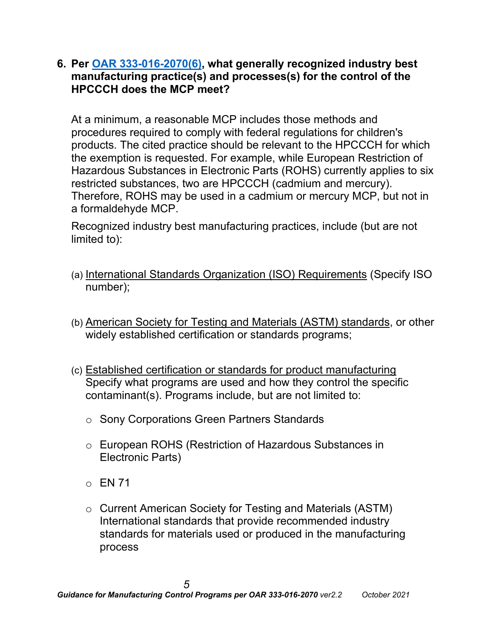**6. Per [OAR 333-016-2070\(6\),](https://secure.sos.state.or.us/oard/viewSingleRule.action?ruleVrsnRsn=276967) what generally recognized industry best manufacturing practice(s) and processes(s) for the control of the HPCCCH does the MCP meet?** 

At a minimum, a reasonable MCP includes those methods and procedures required to comply with federal regulations for children's products. The cited practice should be relevant to the HPCCCH for which the exemption is requested. For example, while European Restriction of Hazardous Substances in Electronic Parts (ROHS) currently applies to six restricted substances, two are HPCCCH (cadmium and mercury). Therefore, ROHS may be used in a cadmium or mercury MCP, but not in a formaldehyde MCP.

Recognized industry best manufacturing practices, include (but are not limited to):

- (a) International Standards Organization (ISO) Requirements (Specify ISO number);
- (b) American Society for Testing and Materials (ASTM) standards, or other widely established certification or standards programs;
- (c) Established certification or standards for product manufacturing Specify what programs are used and how they control the specific contaminant(s). Programs include, but are not limited to:
	- o Sony Corporations Green Partners Standards
	- o European ROHS (Restriction of Hazardous Substances in Electronic Parts)
	- $\circ$  EN 71
	- o Current American Society for Testing and Materials (ASTM) International standards that provide recommended industry standards for materials used or produced in the manufacturing process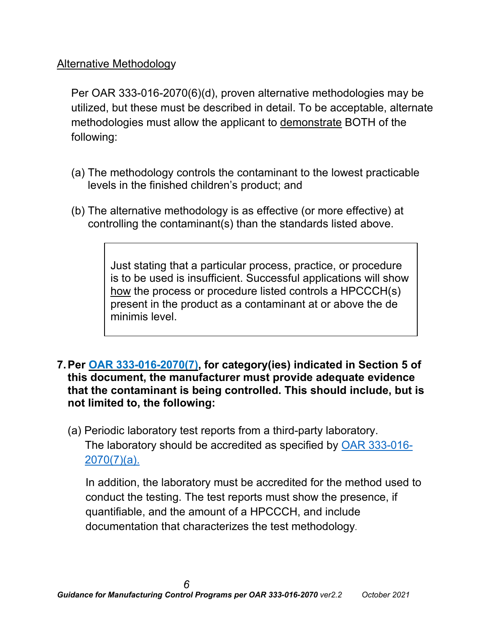### Alternative Methodology

Per OAR 333-016-2070(6)(d), proven alternative methodologies may be utilized, but these must be described in detail. To be acceptable, alternate methodologies must allow the applicant to demonstrate BOTH of the following:

- (a) The methodology controls the contaminant to the lowest practicable levels in the finished children's product; and
- (b) The alternative methodology is as effective (or more effective) at controlling the contaminant(s) than the standards listed above.

Just stating that a particular process, practice, or procedure is to be used is insufficient. Successful applications will show how the process or procedure listed controls a HPCCCH(s) present in the product as a contaminant at or above the de minimis level.

- **7.Per OAR [333-016-2070\(7\),](https://secure.sos.state.or.us/oard/viewSingleRule.action?ruleVrsnRsn=276967) for category(ies) indicated in Section 5 of this document, the manufacturer must provide adequate evidence that the contaminant is being controlled. This should include, but is not limited to, the following:**
	- (a) Periodic laboratory test reports from a third-party laboratory. The laboratory should be accredited as specified by [OAR 333-016-](https://secure.sos.state.or.us/oard/viewSingleRule.action?ruleVrsnRsn=276967) [2070\(7\)\(a\).](https://secure.sos.state.or.us/oard/viewSingleRule.action?ruleVrsnRsn=276967)

In addition, the laboratory must be accredited for the method used to conduct the testing. The test reports must show the presence, if quantifiable, and the amount of a HPCCCH, and include documentation that characterizes the test methodology.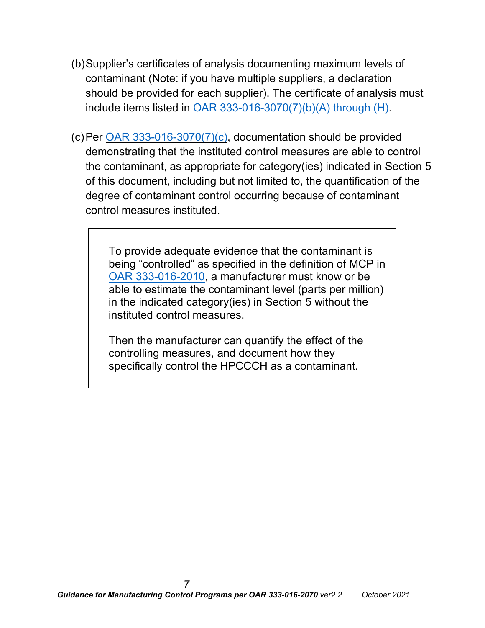- (b)Supplier's certificates of analysis documenting maximum levels of contaminant (Note: if you have multiple suppliers, a declaration should be provided for each supplier). The certificate of analysis must include items listed in OAR [333-016-3070\(7\)\(b\)\(A\)](https://secure.sos.state.or.us/oard/viewSingleRule.action?ruleVrsnRsn=276967) through (H).
- (c)Per OAR [333-016-3070\(7\)\(c\),](https://secure.sos.state.or.us/oard/viewSingleRule.action?ruleVrsnRsn=276967) documentation should be provided demonstrating that the instituted control measures are able to control the contaminant, as appropriate for category(ies) indicated in Section 5 of this document, including but not limited to, the quantification of the degree of contaminant control occurring because of contaminant control measures instituted.

To provide adequate evidence that the contaminant is being "controlled" as specified in the definition of MCP in [OAR 333-016-2010,](https://secure.sos.state.or.us/oard/viewSingleRule.action?ruleVrsnRsn=276959) a manufacturer must know or be able to estimate the contaminant level (parts per million) in the indicated category(ies) in Section 5 without the instituted control measures.

Then the manufacturer can quantify the effect of the controlling measures, and document how they specifically control the HPCCCH as a contaminant.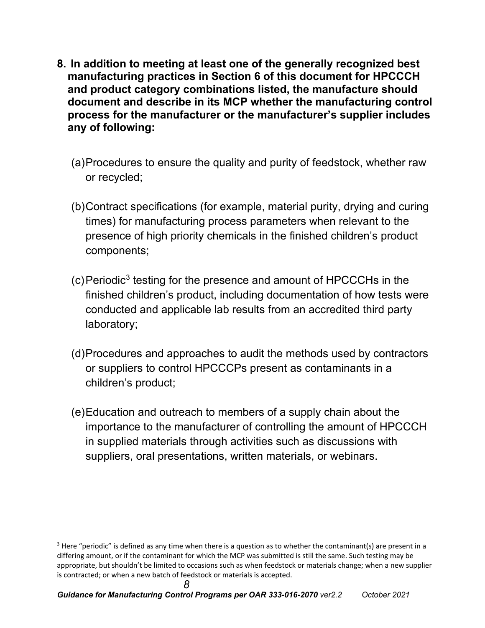- **8. In addition to meeting at least one of the generally recognized best manufacturing practices in Section 6 of this document for HPCCCH and product category combinations listed, the manufacture should document and describe in its MCP whether the manufacturing control process for the manufacturer or the manufacturer's supplier includes any of following:**
	- (a)Procedures to ensure the quality and purity of feedstock, whether raw or recycled;
	- (b)Contract specifications (for example, material purity, drying and curing times) for manufacturing process parameters when relevant to the presence of high priority chemicals in the finished children's product components;
	- (c)Periodic[3](#page-7-0) testing for the presence and amount of HPCCCHs in the finished children's product, including documentation of how tests were conducted and applicable lab results from an accredited third party laboratory;
	- (d)Procedures and approaches to audit the methods used by contractors or suppliers to control HPCCCPs present as contaminants in a children's product;
	- (e)Education and outreach to members of a supply chain about the importance to the manufacturer of controlling the amount of HPCCCH in supplied materials through activities such as discussions with suppliers, oral presentations, written materials, or webinars.

<span id="page-7-0"></span> $3$  Here "periodic" is defined as any time when there is a question as to whether the contaminant(s) are present in a differing amount, or if the contaminant for which the MCP was submitted is still the same. Such testing may be appropriate, but shouldn't be limited to occasions such as when feedstock or materials change; when a new supplier is contracted; or when a new batch of feedstock or materials is accepted.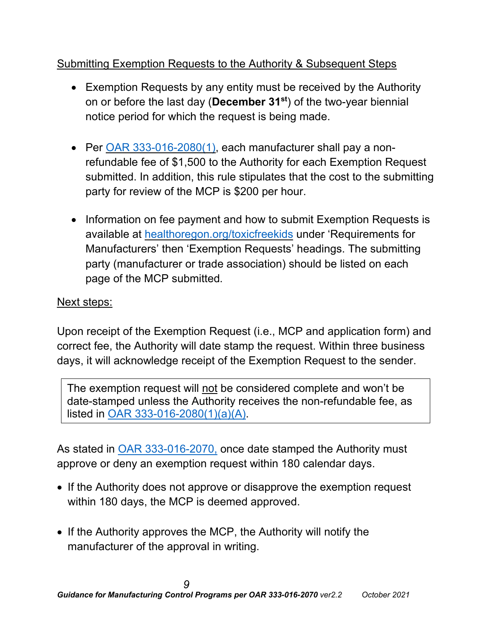# Submitting Exemption Requests to the Authority & Subsequent Steps

- Exemption Requests by any entity must be received by the Authority on or before the last day (**December 31st**) of the two-year biennial notice period for which the request is being made.
- Per OAR [333-016-2080\(1\),](https://secure.sos.state.or.us/oard/viewSingleRule.action?ruleVrsnRsn=276968) each manufacturer shall pay a nonrefundable fee of \$1,500 to the Authority for each Exemption Request submitted. In addition, this rule stipulates that the cost to the submitting party for review of the MCP is \$200 per hour.
- Information on fee payment and how to submit Exemption Requests is available at [healthoregon.org/toxicfreekids](http://public.health.oregon.gov/HealthyEnvironments/HealthyNeighborhoods/ToxicSubstances/Pages/Toxic-Free-Kids.aspx) under 'Requirements for Manufacturers' then 'Exemption Requests' headings. The submitting party (manufacturer or trade association) should be listed on each page of the MCP submitted.

## Next steps:

Upon receipt of the Exemption Request (i.e., MCP and application form) and correct fee, the Authority will date stamp the request. Within three business days, it will acknowledge receipt of the Exemption Request to the sender.

The exemption request will not be considered complete and won't be date-stamped unless the Authority receives the non-refundable fee, as listed in [OAR 333-016-2080\(1\)\(a\)\(A\).](https://secure.sos.state.or.us/oard/viewSingleRule.action?ruleVrsnRsn=276968)

As stated in **OAR 333-016-2070**, once date stamped the Authority must approve or deny an exemption request within 180 calendar days.

- If the Authority does not approve or disapprove the exemption request within 180 days, the MCP is deemed approved.
- If the Authority approves the MCP, the Authority will notify the manufacturer of the approval in writing.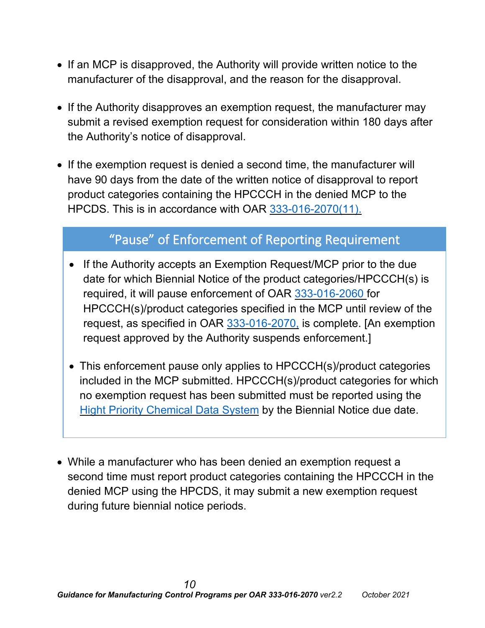- If an MCP is disapproved, the Authority will provide written notice to the manufacturer of the disapproval, and the reason for the disapproval.
- If the Authority disapproves an exemption request, the manufacturer may submit a revised exemption request for consideration within 180 days after the Authority's notice of disapproval.
- If the exemption request is denied a second time, the manufacturer will have 90 days from the date of the written notice of disapproval to report product categories containing the HPCCCH in the denied MCP to the HPCDS. This is in accordance with OAR [333-016-2070\(11\).](https://secure.sos.state.or.us/oard/viewSingleRule.action?ruleVrsnRsn=276967)

# "Pause" of Enforcement of Reporting Requirement

- If the Authority accepts an Exemption Request/MCP prior to the due date for which Biennial Notice of the product categories/HPCCCH(s) is required, it will pause enforcement of OAR [333-016-2060](https://secure.sos.state.or.us/oard/viewSingleRule.action?ruleVrsnRsn=280654) for HPCCCH(s)/product categories specified in the MCP until review of the request, as specified in OAR [333-016-2070,](https://secure.sos.state.or.us/oard/viewSingleRule.action?ruleVrsnRsn=276967) is complete. [An exemption request approved by the Authority suspends enforcement.]
- This enforcement pause only applies to HPCCCH(s)/product categories included in the MCP submitted. HPCCCH(s)/product categories for which no exemption request has been submitted must be reported using the Hight Priority [Chemical](http://theic2.org/hpcds#gsc.tab=0) Data System by the Biennial Notice due date.
- While a manufacturer who has been denied an exemption request a second time must report product categories containing the HPCCCH in the denied MCP using the HPCDS, it may submit a new exemption request during future biennial notice periods.